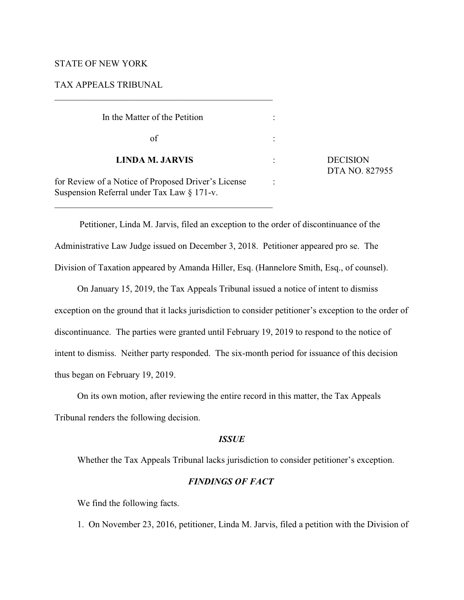# STATE OF NEW YORK

# TAX APPEALS TRIBUNAL

| In the Matter of the Petition                                                                         |                |                                   |
|-------------------------------------------------------------------------------------------------------|----------------|-----------------------------------|
| of                                                                                                    |                |                                   |
| <b>LINDA M. JARVIS</b>                                                                                |                | <b>DECISION</b><br>DTA NO. 827955 |
| for Review of a Notice of Proposed Driver's License<br>Suspension Referral under Tax Law $\S 171$ -v. | $\ddot{\cdot}$ |                                   |

\_\_\_\_\_\_\_\_\_\_\_\_\_\_\_\_\_\_\_\_\_\_\_\_\_\_\_\_\_\_\_\_\_\_\_\_\_\_\_\_\_\_\_\_\_\_\_\_

 Petitioner, Linda M. Jarvis, filed an exception to the order of discontinuance of the Administrative Law Judge issued on December 3, 2018. Petitioner appeared pro se. The Division of Taxation appeared by Amanda Hiller, Esq. (Hannelore Smith, Esq., of counsel).

On January 15, 2019, the Tax Appeals Tribunal issued a notice of intent to dismiss exception on the ground that it lacks jurisdiction to consider petitioner's exception to the order of discontinuance. The parties were granted until February 19, 2019 to respond to the notice of intent to dismiss. Neither party responded. The six-month period for issuance of this decision thus began on February 19, 2019.

On its own motion, after reviewing the entire record in this matter, the Tax Appeals Tribunal renders the following decision.

### *ISSUE*

Whether the Tax Appeals Tribunal lacks jurisdiction to consider petitioner's exception.

# *FINDINGS OF FACT*

We find the following facts.

1. On November 23, 2016, petitioner, Linda M. Jarvis, filed a petition with the Division of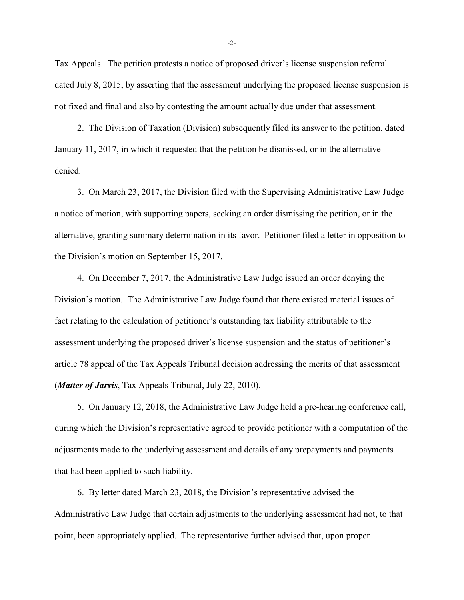Tax Appeals. The petition protests a notice of proposed driver's license suspension referral dated July 8, 2015, by asserting that the assessment underlying the proposed license suspension is not fixed and final and also by contesting the amount actually due under that assessment.

2. The Division of Taxation (Division) subsequently filed its answer to the petition, dated January 11, 2017, in which it requested that the petition be dismissed, or in the alternative denied.

3. On March 23, 2017, the Division filed with the Supervising Administrative Law Judge a notice of motion, with supporting papers, seeking an order dismissing the petition, or in the alternative, granting summary determination in its favor. Petitioner filed a letter in opposition to the Division's motion on September 15, 2017.

4. On December 7, 2017, the Administrative Law Judge issued an order denying the Division's motion. The Administrative Law Judge found that there existed material issues of fact relating to the calculation of petitioner's outstanding tax liability attributable to the assessment underlying the proposed driver's license suspension and the status of petitioner's article 78 appeal of the Tax Appeals Tribunal decision addressing the merits of that assessment (*Matter of Jarvis*, Tax Appeals Tribunal, July 22, 2010).

5. On January 12, 2018, the Administrative Law Judge held a pre-hearing conference call, during which the Division's representative agreed to provide petitioner with a computation of the adjustments made to the underlying assessment and details of any prepayments and payments that had been applied to such liability.

6. By letter dated March 23, 2018, the Division's representative advised the Administrative Law Judge that certain adjustments to the underlying assessment had not, to that point, been appropriately applied. The representative further advised that, upon proper

-2-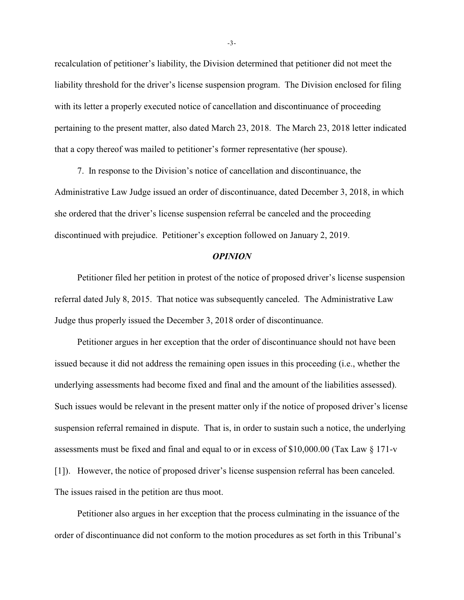recalculation of petitioner's liability, the Division determined that petitioner did not meet the liability threshold for the driver's license suspension program. The Division enclosed for filing with its letter a properly executed notice of cancellation and discontinuance of proceeding pertaining to the present matter, also dated March 23, 2018. The March 23, 2018 letter indicated that a copy thereof was mailed to petitioner's former representative (her spouse).

7. In response to the Division's notice of cancellation and discontinuance, the Administrative Law Judge issued an order of discontinuance, dated December 3, 2018, in which she ordered that the driver's license suspension referral be canceled and the proceeding discontinued with prejudice. Petitioner's exception followed on January 2, 2019.

#### *OPINION*

Petitioner filed her petition in protest of the notice of proposed driver's license suspension referral dated July 8, 2015. That notice was subsequently canceled. The Administrative Law Judge thus properly issued the December 3, 2018 order of discontinuance.

Petitioner argues in her exception that the order of discontinuance should not have been issued because it did not address the remaining open issues in this proceeding (i.e., whether the underlying assessments had become fixed and final and the amount of the liabilities assessed). Such issues would be relevant in the present matter only if the notice of proposed driver's license suspension referral remained in dispute. That is, in order to sustain such a notice, the underlying assessments must be fixed and final and equal to or in excess of \$10,000.00 (Tax Law § 171-v [1]). However, the notice of proposed driver's license suspension referral has been canceled. The issues raised in the petition are thus moot.

Petitioner also argues in her exception that the process culminating in the issuance of the order of discontinuance did not conform to the motion procedures as set forth in this Tribunal's

-3-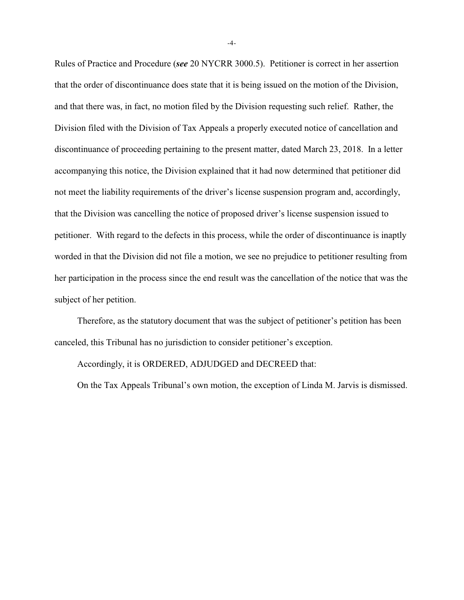Rules of Practice and Procedure (*see* 20 NYCRR 3000.5). Petitioner is correct in her assertion that the order of discontinuance does state that it is being issued on the motion of the Division, and that there was, in fact, no motion filed by the Division requesting such relief. Rather, the Division filed with the Division of Tax Appeals a properly executed notice of cancellation and discontinuance of proceeding pertaining to the present matter, dated March 23, 2018. In a letter accompanying this notice, the Division explained that it had now determined that petitioner did not meet the liability requirements of the driver's license suspension program and, accordingly, that the Division was cancelling the notice of proposed driver's license suspension issued to petitioner. With regard to the defects in this process, while the order of discontinuance is inaptly worded in that the Division did not file a motion, we see no prejudice to petitioner resulting from her participation in the process since the end result was the cancellation of the notice that was the subject of her petition.

Therefore, as the statutory document that was the subject of petitioner's petition has been canceled, this Tribunal has no jurisdiction to consider petitioner's exception.

Accordingly, it is ORDERED, ADJUDGED and DECREED that:

On the Tax Appeals Tribunal's own motion, the exception of Linda M. Jarvis is dismissed.

-4-